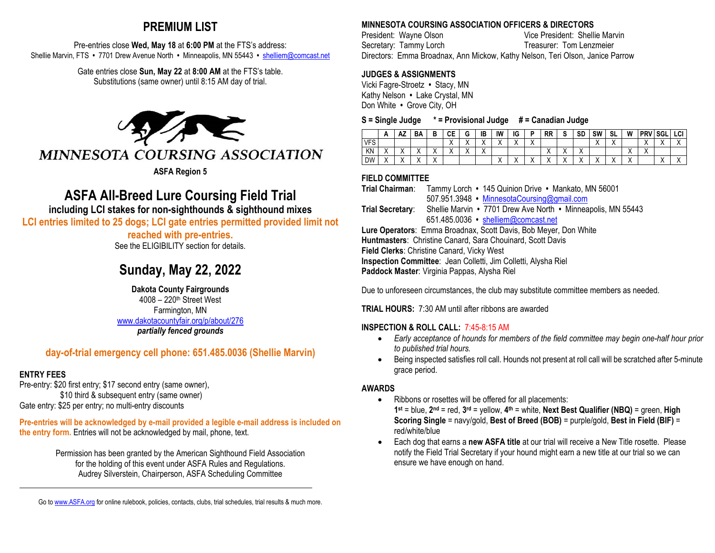# **PREMIUM LIST**

Pre-entries close **Wed, May 18** at **6:00 PM** at the FTS's address: Shellie Marvin, FTS **•** 7701 Drew Avenue North **•** Minneapolis, MN 55443 **•** [shelliem@comcast.net](mailto:shelliem@comcast.net)

> Gate entries close **Sun, May 22** at **8:00 AM** at the FTS's table. Substitutions (same owner) until 8:15 AM day of trial.



# **ASFA All-Breed Lure Coursing Field Trial**

**including LCI stakes for non-sighthounds & sighthound mixes**

**LCI entries limited to 25 dogs; LCI gate entries permitted provided limit not** 

### **reached with pre-entries.**

See the ELIGIBILITY section for details.

# **Sunday, May 22, 2022**

**Dakota County Fairgrounds** 4008 – 220th Street West Farmington, MN [www.dakotacountyfair.org/p/about/276](http://www.dakotacountyfair.org/p/about/276)  *partially fenced grounds*

# **day-of-trial emergency cell phone: 651.485.0036 (Shellie Marvin)**

# **ENTRY FEES**

 $\overline{a}$ 

Pre-entry: \$20 first entry; \$17 second entry (same owner), \$10 third & subsequent entry (same owner) Gate entry: \$25 per entry; no multi-entry discounts

**Pre-entries will be acknowledged by e-mail provided a legible e-mail address is included on the entry form.** Entries will not be acknowledged by mail, phone, text.

> Permission has been granted by the American Sighthound Field Association for the holding of this event under ASFA Rules and Regulations. Audrey Silverstein, Chairperson, ASFA Scheduling Committee

# **MINNESOTA COURSING ASSOCIATION OFFICERS & DIRECTORS**

President: Wayne Olson Vice President: Shellie Marvin Secretary: Tammy Lorch Treasurer: Tom Lenzmeier Directors: Emma Broadnax, Ann Mickow, Kathy Nelson, Teri Olson, Janice Parrow

### **JUDGES & ASSIGNMENTS**

Vicki Fagre-Stroetz **•** Stacy, MN Kathy Nelson **•** Lake Crystal, MN Don White **•** Grove City, OH

#### **S = Single Judge \* = Provisional Judge # = Canadian Judge**

|            | n | m4              | BΑ                  | D                       | CЕ                   | G                        | IB                     | IW | ΙG                                  | D         | <b>RR</b> | v         | <b>SD</b>              | <b>SW</b>                 | SL        | W         | <b>PRV</b> | <b>SGL</b> | LCI                   |
|------------|---|-----------------|---------------------|-------------------------|----------------------|--------------------------|------------------------|----|-------------------------------------|-----------|-----------|-----------|------------------------|---------------------------|-----------|-----------|------------|------------|-----------------------|
| <b>VFS</b> |   |                 |                     |                         | $\cdot$<br>$\lambda$ | $\cdot$                  | $\sqrt{}$<br>"         |    | $\cdot$<br>$\overline{\phantom{a}}$ | $\sqrt{}$ |           |           |                        | $\checkmark$<br>$\lambda$ |           |           | $\cdot$    |            | $\sqrt{}$<br>$\cdots$ |
| KΝ         |   | 73              | $\cdots$            | $\cdots$                | $\cdots$             | $\overline{\phantom{a}}$ | $\sqrt{}$<br>$\lambda$ |    |                                     |           |           | $\sqrt{}$ | $\sqrt{}$<br>$\lambda$ |                           |           |           |            |            |                       |
| <b>DW</b>  |   | $\sqrt{}$<br>73 | $\cdot$<br>$\cdots$ | $\lambda$<br>$\sqrt{ }$ |                      |                          |                        | ⌒  | $\cdot$<br>$\overline{\phantom{a}}$ | $\cdot$   |           | $\sqrt{}$ | $\lambda$              | $\cdot$<br>$\cdots$       | $\lambda$ | $\lambda$ |            | $\cdots$   | $\cdot$<br>$\lambda$  |

### **FIELD COMMITTEE**

**Trial Chairman**: Tammy Lorch **•** 145 Quinion Drive **•** Mankato, MN 56001 507.951.3948 **•** [MinnesotaCoursing@gmail.com](mailto:MinnesotaCoursing@gmail.com)  **Trial Secretary**: Shellie Marvin **•** 7701 Drew Ave North **•** Minneapolis, MN 55443 651.485.0036 **•** [shelliem@comcast.net](mailto:shelliem@comcast.net)  **Lure Operators**: Emma Broadnax, Scott Davis, Bob Meyer, Don White **Huntmasters**: Christine Canard, Sara Chouinard, Scott Davis **Field Clerks**: Christine Canard, Vicky West **Inspection Committee**: Jean Colletti, Jim Colletti, Alysha Riel **Paddock Master**: Virginia Pappas, Alysha Riel

Due to unforeseen circumstances, the club may substitute committee members as needed.

**TRIAL HOURS:** 7:30 AM until after ribbons are awarded

## **INSPECTION & ROLL CALL:** 7:45-8:15 AM

- *Early acceptance of hounds for members of the field committee may begin one-half hour prior to published trial hours.*
- Being inspected satisfies roll call. Hounds not present at roll call will be scratched after 5-minute grace period.

### **AWARDS**

- Ribbons or rosettes will be offered for all placements: **1st** = blue, **2nd** = red, **3rd** = yellow, **4th** = white, **Next Best Qualifier (NBQ)** = green, **High Scoring Single** = navy/gold, **Best of Breed (BOB)** = purple/gold, **Best in Field (BIF)** = red/white/blue
- Each dog that earns a **new ASFA title** at our trial will receive a New Title rosette. Please notify the Field Trial Secretary if your hound might earn a new title at our trial so we can ensure we have enough on hand.

Go t[o www.ASFA.org](http://www.asfa.org/) for online rulebook, policies, contacts, clubs, trial schedules, trial results & much more.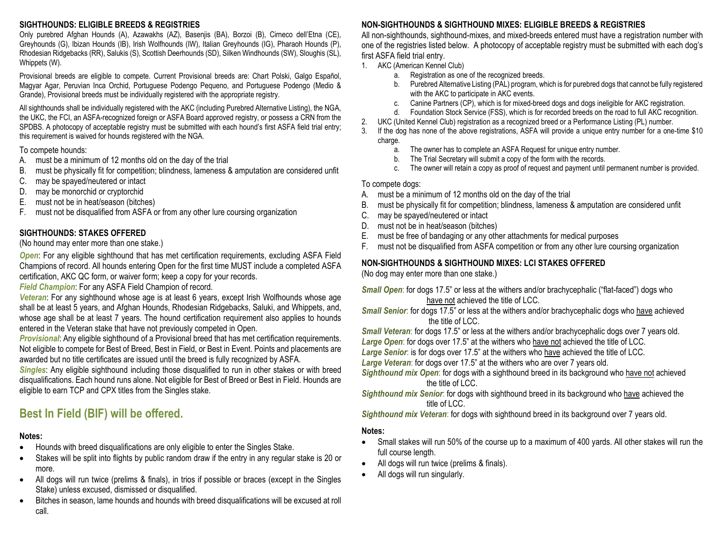#### **SIGHTHOUNDS: ELIGIBLE BREEDS & REGISTRIES**

Only purebred Afghan Hounds (A), Azawakhs (AZ), Basenjis (BA), Borzoi (B), Cirneco dell'Etna (CE), Greyhounds (G), Ibizan Hounds (IB), Irish Wolfhounds (IW), Italian Greyhounds (IG), Pharaoh Hounds (P), Rhodesian Ridgebacks (RR), Salukis (S), Scottish Deerhounds (SD), Silken Windhounds (SW), Sloughis (SL), Whippets (W).

Provisional breeds are eligible to compete. Current Provisional breeds are: Chart Polski, Galgo Español, Magyar Agar, Peruvian Inca Orchid, Portuguese Podengo Pequeno, and Portuguese Podengo (Medio & Grande), Provisional breeds must be individually registered with the appropriate registry.

All sighthounds shall be individually registered with the AKC (including Purebred Alternative Listing), the NGA, the UKC, the FCI, an ASFA-recognized foreign or ASFA Board approved registry, or possess a CRN from the SPDBS. A photocopy of acceptable registry must be submitted with each hound's first ASFA field trial entry; this requirement is waived for hounds registered with the NGA.

#### To compete hounds:

- A. must be a minimum of 12 months old on the day of the trial
- B. must be physically fit for competition; blindness, lameness & amputation are considered unfit
- C. may be spayed/neutered or intact
- D. may be monorchid or cryptorchid
- E. must not be in heat/season (bitches)
- F. must not be disqualified from ASFA or from any other lure coursing organization

### **SIGHTHOUNDS: STAKES OFFERED**

(No hound may enter more than one stake.)

*Open*: For any eligible sighthound that has met certification requirements, excluding ASFA Field Champions of record. All hounds entering Open for the first time MUST include a completed ASFA certification, AKC QC form, or waiver form; keep a copy for your records.

*Field Champion*: For any ASFA Field Champion of record.

*Veteran*: For any sighthound whose age is at least 6 years, except Irish Wolfhounds whose age shall be at least 5 years, and Afghan Hounds, Rhodesian Ridgebacks, Saluki, and Whippets, and, whose age shall be at least 7 years. The hound certification requirement also applies to hounds entered in the Veteran stake that have not previously competed in Open.

*Provisional*: Any eligible sighthound of a Provisional breed that has met certification requirements. Not eligible to compete for Best of Breed, Best in Field, or Best in Event. Points and placements are awarded but no title certificates are issued until the breed is fully recognized by ASFA.

*Singles*: Any eligible sighthound including those disqualified to run in other stakes or with breed disqualifications. Each hound runs alone. Not eligible for Best of Breed or Best in Field. Hounds are eligible to earn TCP and CPX titles from the Singles stake.

# **Best In Field (BIF) will be offered.**

#### **Notes:**

- Hounds with breed disqualifications are only eligible to enter the Singles Stake.
- Stakes will be split into flights by public random draw if the entry in any regular stake is 20 or more.
- All dogs will run twice (prelims & finals), in trios if possible or braces (except in the Singles Stake) unless excused, dismissed or disqualified.
- Bitches in season, lame hounds and hounds with breed disqualifications will be excused at roll call.

# **NON-SIGHTHOUNDS & SIGHTHOUND MIXES: ELIGIBLE BREEDS & REGISTRIES**

All non-sighthounds, sighthound-mixes, and mixed-breeds entered must have a registration number with one of the registries listed below. A photocopy of acceptable registry must be submitted with each dog's first ASFA field trial entry.

- 1. AKC (American Kennel Club)
	- a. Registration as one of the recognized breeds.
	- b. Purebred Alternative Listing (PAL) program, which is for purebred dogs that cannot be fully registered with the AKC to participate in AKC events.
	- c. Canine Partners (CP), which is for mixed-breed dogs and dogs ineligible for AKC registration.
	- d. Foundation Stock Service (FSS), which is for recorded breeds on the road to full AKC recognition.
- 2. UKC (United Kennel Club) registration as a recognized breed or a Performance Listing (PL) number.
- 3. If the dog has none of the above registrations, ASFA will provide a unique entry number for a one-time \$10 charge.
	- a. The owner has to complete an ASFA Request for unique entry number.
	- b. The Trial Secretary will submit a copy of the form with the records.
	- c. The owner will retain a copy as proof of request and payment until permanent number is provided.

#### To compete dogs:

- A. must be a minimum of 12 months old on the day of the trial
- B. must be physically fit for competition; blindness, lameness & amputation are considered unfit
- C. may be spayed/neutered or intact
- D. must not be in heat/season (bitches)
- E. must be free of bandaging or any other attachments for medical purposes
- F. must not be disqualified from ASFA competition or from any other lure coursing organization

## **NON-SIGHTHOUNDS & SIGHTHOUND MIXES: LCI STAKES OFFERED**

(No dog may enter more than one stake.)

**Small Open:** for dogs 17.5" or less at the withers and/or brachycephalic ("flat-faced") dogs who have not achieved the title of LCC.

*Small Senior*: for dogs 17.5" or less at the withers and/or brachycephalic dogs who have achieved the title of LCC.

*Small Veteran*: for dogs 17.5" or less at the withers and/or brachycephalic dogs over 7 years old. *Large Open*: for dogs over 17.5" at the withers who have not achieved the title of LCC.

*Large Senior*: is for dogs over 17.5" at the withers who have achieved the title of LCC.

*Large Veteran*: for dogs over 17.5" at the withers who are over 7 years old.

- *Sighthound mix Open*: for dogs with a sighthound breed in its background who have not achieved the title of LCC.
- *Sighthound mix Senior*: for dogs with sighthound breed in its background who have achieved the title of LCC.

*Sighthound mix Veteran*: for dogs with sighthound breed in its background over 7 years old.

#### **Notes:**

- Small stakes will run 50% of the course up to a maximum of 400 yards. All other stakes will run the full course length.
- All dogs will run twice (prelims & finals).
- All dogs will run singularly.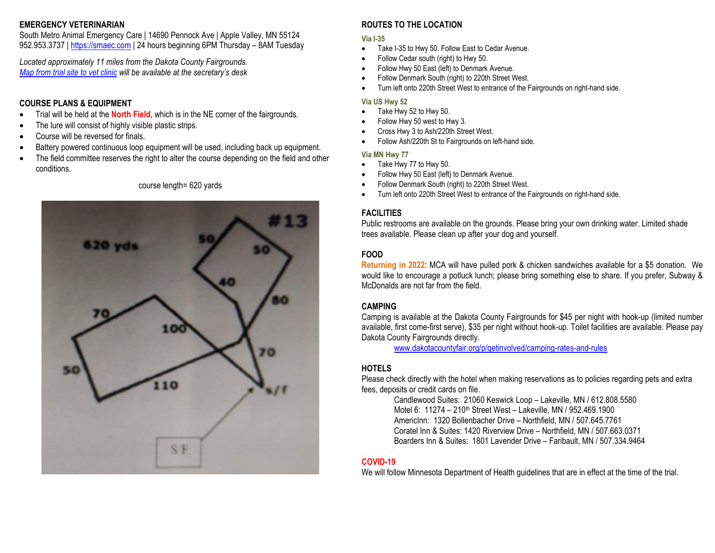#### **EMERGENCY VETERINARIAN**

South Metro Animal Emergency Care | 14690 Pennock Ave | Apple Valley, MN 55124 952.953.3737 [| https://smaec.com](https://smaec.com/) | 24 hours beginning 6PM Thursday – 8AM Tuesday

*Located approximately 11 miles from the Dakota County Fairgrounds. [Map from trial site to vet clinic](https://goo.gl/maps/UCD2UfJw2eEGzNt6A) will be available at the secretary's desk*

#### **COURSE PLANS & EQUIPMENT**

- Trial will be held at the **North Field**, which is in the NE corner of the fairgrounds.
- The lure will consist of highly visible plastic strips.
- Course will be reversed for finals.
- Battery powered continuous loop equipment will be used, including back up equipment.
- The field committee reserves the right to alter the course depending on the field and other conditions.

#### course length= 620 yards



#### **ROUTES TO THE LOCATION**

#### **Via I-35**

- Take I-35 to Hwy 50. Follow East to Cedar Avenue.
- Follow Cedar south (right) to Hwy 50.
- Follow Hwy 50 East (left) to Denmark Avenue.
- Follow Denmark South (right) to 220th Street West.
- Turn left onto 220th Street West to entrance of the Fairgrounds on right-hand side.

#### **Via US Hwy 52**

- Take Hwy 52 to Hwy 50.
- Follow Hwy 50 west to Hwy 3.
- Cross Hwy 3 to Ash/220th Street West.
- Follow Ash/220th St to Fairgrounds on left-hand side.

#### **Via MN Hwy 77**

- Take Hwy 77 to Hwy 50.
- Follow Hwy 50 East (left) to Denmark Avenue.
- Follow Denmark South (right) to 220th Street West.
- Turn left onto 220th Street West to entrance of the Fairgrounds on right-hand side.

### **FACILITIES**

Public restrooms are available on the grounds. Please bring your own drinking water. Limited shade trees available. Please clean up after your dog and yourself.

### **FOOD**

**Returning in 2022**: MCA will have pulled pork & chicken sandwiches available for a \$5 donation. We would like to encourage a potluck lunch; please bring something else to share. If you prefer, Subway & McDonalds are not far from the field.

## **CAMPING**

Camping is available at the Dakota County Fairgrounds for \$45 per night with hook-up (limited number available, first come-first serve), \$35 per night without hook-up. Toilet facilities are available. Please pay Dakota County Fairgrounds directly.

[www.dakotacountyfair.org/p/getinvolved/camping-rates-and-rules](http://www.dakotacountyfair.org/p/getinvolved/camping-rates-and-rules) 

## **HOTELS**

Please check directly with the hotel when making reservations as to policies regarding pets and extra fees, deposits or credit cards on file.

Candlewood Suites: 21060 Keswick Loop – Lakeville, MN / 612.808.5580 Motel 6: 11274 – 210th Street West – Lakeville, MN / 952.469.1900 AmericInn: 1320 Bollenbacher Drive – Northfield, MN / 507.645.7761 Coratel Inn & Suites: 1420 Riverview Drive – Northfield, MN / 507.663.0371 Boarders Inn & Suites: 1801 Lavender Drive – Faribault, MN / 507.334.9464

### **COVID-19**

We will follow Minnesota Department of Health guidelines that are in effect at the time of the trial.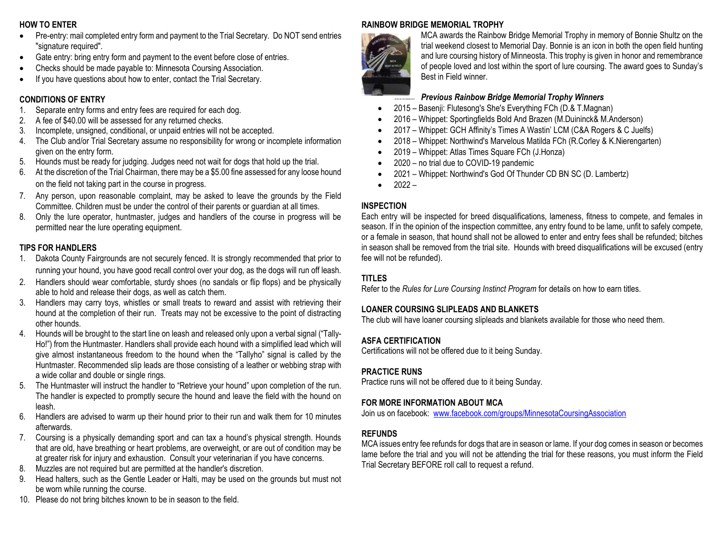### **HOW TO ENTER**

- Pre-entry: mail completed entry form and payment to the Trial Secretary. Do NOT send entries "signature required".
- Gate entry: bring entry form and payment to the event before close of entries.
- Checks should be made payable to: Minnesota Coursing Association.
- If you have questions about how to enter, contact the Trial Secretary.

### **CONDITIONS OF ENTRY**

- 1. Separate entry forms and entry fees are required for each dog.
- 2. A fee of \$40.00 will be assessed for any returned checks.
- 3. Incomplete, unsigned, conditional, or unpaid entries will not be accepted.
- 4. The Club and/or Trial Secretary assume no responsibility for wrong or incomplete information given on the entry form.
- 5. Hounds must be ready for judging. Judges need not wait for dogs that hold up the trial.
- 6. At the discretion of the Trial Chairman, there may be a \$5.00 fine assessed for any loose hound on the field not taking part in the course in progress.
- 7. Any person, upon reasonable complaint, may be asked to leave the grounds by the Field Committee. Children must be under the control of their parents or guardian at all times.
- 8. Only the lure operator, huntmaster, judges and handlers of the course in progress will be permitted near the lure operating equipment.

### **TIPS FOR HANDLERS**

- 1. Dakota County Fairgrounds are not securely fenced. It is strongly recommended that prior to running your hound, you have good recall control over your dog, as the dogs will run off leash.
- 2. Handlers should wear comfortable, sturdy shoes (no sandals or flip flops) and be physically able to hold and release their dogs, as well as catch them.
- 3. Handlers may carry toys, whistles or small treats to reward and assist with retrieving their hound at the completion of their run. Treats may not be excessive to the point of distracting other hounds.
- 4. Hounds will be brought to the start line on leash and released only upon a verbal signal ("Tally-Ho!") from the Huntmaster. Handlers shall provide each hound with a simplified lead which will give almost instantaneous freedom to the hound when the "Tallyho" signal is called by the Huntmaster. Recommended slip leads are those consisting of a leather or webbing strap with a wide collar and double or single rings.
- 5. The Huntmaster will instruct the handler to "Retrieve your hound" upon completion of the run. The handler is expected to promptly secure the hound and leave the field with the hound on leash.
- 6. Handlers are advised to warm up their hound prior to their run and walk them for 10 minutes afterwards.
- 7. Coursing is a physically demanding sport and can tax a hound's physical strength. Hounds that are old, have breathing or heart problems, are overweight, or are out of condition may be at greater risk for injury and exhaustion. Consult your veterinarian if you have concerns.
- 8. Muzzles are not required but are permitted at the handler's discretion.
- 9. Head halters, such as the Gentle Leader or Halti, may be used on the grounds but must not be worn while running the course.
- 10. Please do not bring bitches known to be in season to the field.

# **RAINBOW BRIDGE MEMORIAL TROPHY**



MCA awards the Rainbow Bridge Memorial Trophy in memory of Bonnie Shultz on the trial weekend closest to Memorial Day. Bonnie is an icon in both the open field hunting and lure coursing history of Minneosta. This trophy is given in honor and remembrance of people loved and lost within the sport of lure coursing. The award goes to Sunday's Best in Field winner.

## *Previous Rainbow Bridge Memorial Trophy Winners*

- 2015 Basenji: Flutesong's She's Everything FCh (D.& T.Magnan)
- 2016 Whippet: Sportingfields Bold And Brazen (M.Duininck& M.Anderson)
- 2017 Whippet: GCH Affinity's Times A Wastin' LCM (C&A Rogers & C Juelfs)
- 2018 Whippet: Northwind's Marvelous Matilda FCh (R.Corley & K.Nierengarten)
- 2019 Whippet: Atlas Times Square FCh (J.Honza)
- 2020 no trial due to COVID-19 pandemic
- 2021 Whippet: Northwind's God Of Thunder CD BN SC (D. Lambertz)
- $2022 -$

## **INSPECTION**

Each entry will be inspected for breed disqualifications, lameness, fitness to compete, and females in season. If in the opinion of the inspection committee, any entry found to be lame, unfit to safely compete, or a female in season, that hound shall not be allowed to enter and entry fees shall be refunded; bitches in season shall be removed from the trial site. Hounds with breed disqualifications will be excused (entry fee will not be refunded).

## **TITLES**

Refer to the *Rules for Lure Coursing Instinct Program* for details on how to earn titles.

## **LOANER COURSING SLIPLEADS AND BLANKETS**

The club will have loaner coursing slipleads and blankets available for those who need them.

### **ASFA CERTIFICATION**

Certifications will not be offered due to it being Sunday.

## **PRACTICE RUNS**

Practice runs will not be offered due to it being Sunday.

## **FOR MORE INFORMATION ABOUT MCA**

Join us on facebook: [www.facebook.com/groups/MinnesotaCoursingAssociation](http://www.facebook.com/groups/MinnesotaCoursingAssociation) 

## **REFUNDS**

MCA issues entry fee refunds for dogs that are in season or lame. If your dog comes in season or becomes lame before the trial and you will not be attending the trial for these reasons, you must inform the Field Trial Secretary BEFORE roll call to request a refund.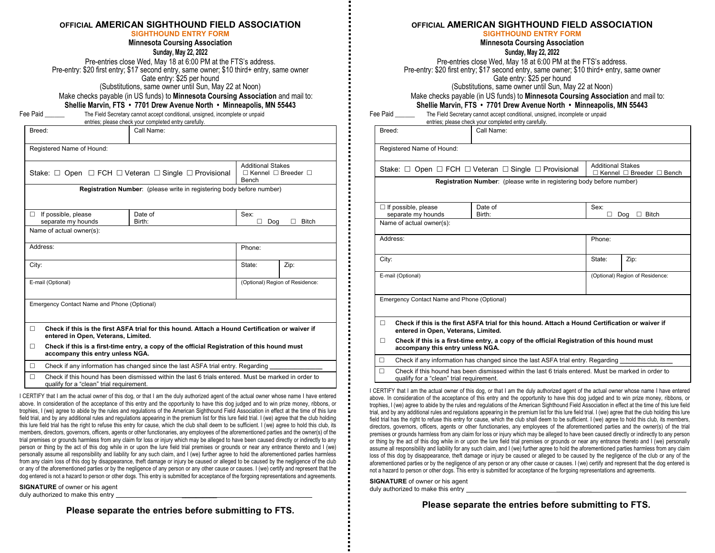#### **OFFICIAL AMERICAN SIGHTHOUND FIELD ASSOCIATION**

#### **SIGHTHOUND ENTRY FORM**

**Minnesota Coursing Association**

**Sunday, May 22, 2022**

Pre-entries close Wed, May 18 at 6:00 PM at the FTS's address. Pre-entry: \$20 first entry; \$17 second entry, same owner; \$10 third+ entry, same owner Gate entry: \$25 per hound (Substitutions, same owner until Sun, May 22 at Noon)

Make checks payable (in US funds) to **Minnesota Coursing Association** and mail to: **Shellie Marvin, FTS • 7701 Drew Avenue North • Minneapolis, MN 55443**

Fee Paid **The Field Secretary cannot accept conditional**, unsigned, incomplete or unpaid entries; please check your completed entry carefully.

| Breed:<br>Call Name:                                                                                                                                                                                                                                                                      |                                                                                 |                                 |              |  |  |
|-------------------------------------------------------------------------------------------------------------------------------------------------------------------------------------------------------------------------------------------------------------------------------------------|---------------------------------------------------------------------------------|---------------------------------|--------------|--|--|
| Registered Name of Hound:                                                                                                                                                                                                                                                                 |                                                                                 |                                 |              |  |  |
| <b>Additional Stakes</b><br>Stake: $\Box$ Open $\Box$ FCH $\Box$ Veteran $\Box$ Single $\Box$ Provisional<br>$\Box$ Kennel $\Box$ Breeder $\Box$<br>Bench                                                                                                                                 |                                                                                 |                                 |              |  |  |
| Registration Number: (please write in registering body before number)                                                                                                                                                                                                                     |                                                                                 |                                 |              |  |  |
| If possible, please<br>п<br>separate my hounds                                                                                                                                                                                                                                            | Date of<br>Birth:                                                               | Sex:<br>Dog                     | <b>Bitch</b> |  |  |
| Name of actual owner(s):                                                                                                                                                                                                                                                                  |                                                                                 |                                 |              |  |  |
| Address:                                                                                                                                                                                                                                                                                  |                                                                                 | Phone:                          |              |  |  |
| City:                                                                                                                                                                                                                                                                                     |                                                                                 | State:                          | Zip:         |  |  |
| E-mail (Optional)                                                                                                                                                                                                                                                                         |                                                                                 | (Optional) Region of Residence: |              |  |  |
| Emergency Contact Name and Phone (Optional)                                                                                                                                                                                                                                               |                                                                                 |                                 |              |  |  |
| Check if this is the first ASFA trial for this hound. Attach a Hound Certification or waiver if<br>П.<br>entered in Open, Veterans, Limited.<br>Check if this is a first-time entry, a copy of the official Registration of this hound must<br>$\Box$<br>accompany this entry unless NGA. |                                                                                 |                                 |              |  |  |
| $\Box$                                                                                                                                                                                                                                                                                    | Check if any information has changed since the last ASFA trial entry. Regarding |                                 |              |  |  |
| $\Box$<br>Check if this hound has been dismissed within the last 6 trials entered. Must be marked in order to<br>qualify for a "clean" trial requirement.                                                                                                                                 |                                                                                 |                                 |              |  |  |

I CERTIFY that I am the actual owner of this dog, or that I am the duly authorized agent of the actual owner whose name I have entered above. In consideration of the acceptance of this entry and the opportunity to have this dog judged and to win prize money, ribbons, or trophies, I (we) agree to abide by the rules and regulations of the American Sighthound Field Association in effect at the time of this lure field trial, and by any additional rules and regulations appearing in the premium list for this lure field trial. I (we) agree that the club holding this lure field trial has the right to refuse this entry for cause, which the club shall deem to be sufficient. I (we) agree to hold this club, its members, directors, governors, officers, agents or other functionaries, any employees of the aforementioned parties and the owner(s) of the trial premises or grounds harmless from any claim for loss or injury which may be alleged to have been caused directly or indirectly to any person or thing by the act of this dog while in or upon the lure field trial premises or grounds or near any entrance thereto and I (we) personally assume all responsibility and liability for any such claim, and I (we) further agree to hold the aforementioned parties harmless from any claim loss of this dog by disappearance, theft damage or injury be caused or alleged to be caused by the negligence of the club or any of the aforementioned parties or by the negligence of any person or any other cause or causes. I (we) certify and represent that the dog entered is not a hazard to person or other dogs. This entry is submitted for acceptance of the forgoing representations and agreements.

**SIGNATURE** of owner or his agent duly authorized to make this entry

**Please separate the entries before submitting to FTS.**

#### **OFFICIAL AMERICAN SIGHTHOUND FIELD ASSOCIATION**

**SIGHTHOUND ENTRY FORM**

**Minnesota Coursing Association Sunday, May 22, 2022**

Pre-entries close Wed, May 18 at 6:00 PM at the FTS's address. Pre-entry: \$20 first entry; \$17 second entry, same owner; \$10 third+ entry, same owner Gate entry: \$25 per hound

(Substitutions, same owner until Sun, May 22 at Noon)

Make checks payable (in US funds) to **Minnesota Coursing Association** and mail to:

**Shellie Marvin, FTS • 7701 Drew Avenue North • Minneapolis, MN 55443**

| Fee Paid | The Field Secretary cannot accept conditional, unsigned, incomplete or unpaid |
|----------|-------------------------------------------------------------------------------|
|          | antrias: plases chack your completed entry carefully                          |

|                                                                                                                                                        |                                                                                                                                                 | produce cribert your compreted onthy carefully                        |        |      |  |  |
|--------------------------------------------------------------------------------------------------------------------------------------------------------|-------------------------------------------------------------------------------------------------------------------------------------------------|-----------------------------------------------------------------------|--------|------|--|--|
| Breed:                                                                                                                                                 |                                                                                                                                                 | Call Name:                                                            |        |      |  |  |
|                                                                                                                                                        | Registered Name of Hound:                                                                                                                       |                                                                       |        |      |  |  |
| <b>Additional Stakes</b><br>Stake: $\Box$ Open $\Box$ FCH $\Box$ Veteran $\Box$ Single $\Box$ Provisional<br>$\Box$ Kennel $\Box$ Breeder $\Box$ Bench |                                                                                                                                                 |                                                                       |        |      |  |  |
|                                                                                                                                                        |                                                                                                                                                 | Registration Number: (please write in registering body before number) |        |      |  |  |
|                                                                                                                                                        | $\Box$ If possible, please<br>separate my hounds                                                                                                | Sex:<br><b>Bitch</b><br>П<br>Dog<br>П.                                |        |      |  |  |
|                                                                                                                                                        | Name of actual owner(s):                                                                                                                        |                                                                       |        |      |  |  |
|                                                                                                                                                        | Address:                                                                                                                                        | Phone:                                                                |        |      |  |  |
| City:                                                                                                                                                  |                                                                                                                                                 |                                                                       | State: | Zip: |  |  |
| E-mail (Optional)<br>(Optional) Region of Residence:                                                                                                   |                                                                                                                                                 |                                                                       |        |      |  |  |
|                                                                                                                                                        | Emergency Contact Name and Phone (Optional)                                                                                                     |                                                                       |        |      |  |  |
| $\Box$                                                                                                                                                 | Check if this is the first ASFA trial for this hound. Attach a Hound Certification or waiver if<br>entered in Open, Veterans, Limited.          |                                                                       |        |      |  |  |
| $\Box$                                                                                                                                                 | Check if this is a first-time entry, a copy of the official Registration of this hound must<br>accompany this entry unless NGA.                 |                                                                       |        |      |  |  |
| $\Box$                                                                                                                                                 | Check if any information has changed since the last ASFA trial entry. Regarding                                                                 |                                                                       |        |      |  |  |
| $\Box$                                                                                                                                                 | Check if this hound has been dismissed within the last 6 trials entered. Must be marked in order to<br>qualify for a "clean" trial requirement. |                                                                       |        |      |  |  |

I CERTIFY that I am the actual owner of this dog, or that I am the duly authorized agent of the actual owner whose name I have entered above. In consideration of the acceptance of this entry and the opportunity to have this dog judged and to win prize money, ribbons, or trophies, I (we) agree to abide by the rules and regulations of the American Sighthound Field Association in effect at the time of this lure field trial, and by any additional rules and regulations appearing in the premium list for this lure field trial. I (we) agree that the club holding this lure field trial has the right to refuse this entry for cause, which the club shall deem to be sufficient. I (we) agree to hold this club, its members, directors, governors, officers, agents or other functionaries, any employees of the aforementioned parties and the owner(s) of the trial premises or grounds harmless from any claim for loss or injury which may be alleged to have been caused directly or indirectly to any person or thing by the act of this dog while in or upon the lure field trial premises or grounds or near any entrance thereto and I (we) personally assume all responsibility and liability for any such claim, and I (we) further agree to hold the aforementioned parties harmless from any claim loss of this dog by disappearance, theft damage or injury be caused or alleged to be caused by the negligence of the club or any of the aforementioned parties or by the negligence of any person or any other cause or causes. I (we) certify and represent that the dog entered is not a hazard to person or other dogs. This entry is submitted for acceptance of the forgoing representations and agreements.

**SIGNATURE** of owner or his agent duly authorized to make this entry

**Please separate the entries before submitting to FTS.**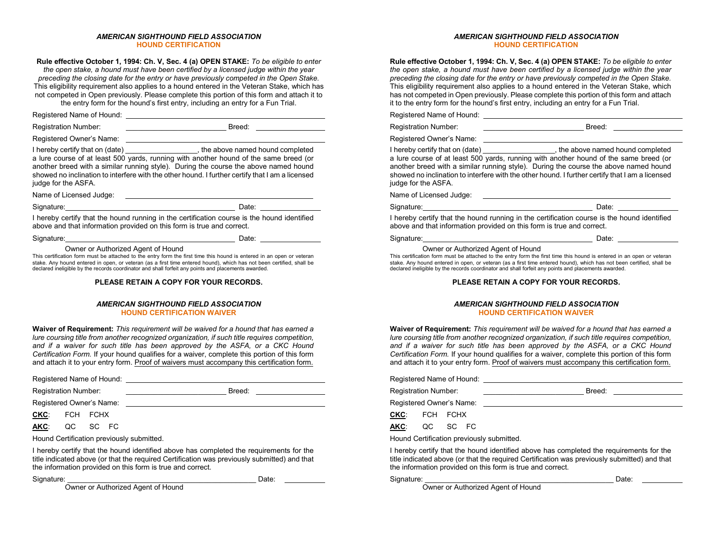#### *AMERICAN SIGHTHOUND FIELD ASSOCIATION* **HOUND CERTIFICATION**

**Rule effective October 1, 1994: Ch. V, Sec. 4 (a) OPEN STAKE:** *To be eligible to enter the open stake, a hound must have been certified by a licensed judge within the year preceding the closing date for the entry or have previously competed in the Open Stake.*  This eligibility requirement also applies to a hound entered in the Veteran Stake, which has not competed in Open previously. Please complete this portion of this form and attach it to the entry form for the hound's first entry, including an entry for a Fun Trial.

Registered Name of Hound:

Registration Number: \_\_\_\_\_\_\_\_\_\_\_\_\_\_\_\_\_\_\_\_\_\_\_\_\_ Breed:

Registered Owner's Name:

I hereby certify that on (date) \_\_\_\_\_\_\_\_\_\_\_\_\_\_\_\_\_\_\_, the above named hound completed a lure course of at least 500 yards, running with another hound of the same breed (or another breed with a similar running style). During the course the above named hound showed no inclination to interfere with the other hound. I further certify that I am a licensed judge for the ASFA.

Name of Licensed Judge: 2002. 2008. 2009. 2009. 2012. 2013. 2014. 2015. 2016. 2017. 2018. 2019. 2019. 2019. 201

Signature: Date: Date: Date: Date: Date: Date: Date: Date: Date: Date: Date: Date: Date: Date: Date: Date: Date: Date: Date: Date: Date: Date: Date: Date: Date: Date: Date: Date: Date: Date: Date: Date: Date: Date: Date: D

I hereby certify that the hound running in the certification course is the hound identified above and that information provided on this form is true and correct.

Signature: Date:

Owner or Authorized Agent of Hound

This certification form must be attached to the entry form the first time this hound is entered in an open or veteran stake. Any hound entered in open, or veteran (as a first time entered hound), which has not been certified, shall be declared ineligible by the records coordinator and shall forfeit any points and placements awarded.

#### **PLEASE RETAIN A COPY FOR YOUR RECORDS.**

#### *AMERICAN SIGHTHOUND FIELD ASSOCIATION* **HOUND CERTIFICATION WAIVER**

**Waiver of Requirement:** *This requirement will be waived for a hound that has earned a lure coursing title from another recognized organization, if such title requires competition, and if a waiver for such title has been approved by the ASFA, or a CKC Hound Certification Form.* If your hound qualifies for a waiver, complete this portion of this form and attach it to your entry form. Proof of waivers must accompany this certification form.

|                             |  | Registered Name of Hound: |        |
|-----------------------------|--|---------------------------|--------|
| <b>Registration Number:</b> |  |                           | Breed: |
| Registered Owner's Name:    |  |                           |        |
| CKC: FCH FCHX               |  |                           |        |

**AKC**: QC SC FC

Hound Certification previously submitted.

I hereby certify that the hound identified above has completed the requirements for the title indicated above (or that the required Certification was previously submitted) and that the information provided on this form is true and correct.

Signature: \_\_\_\_\_\_\_\_\_\_\_\_\_\_\_\_\_\_\_\_\_\_\_\_\_\_\_\_\_\_\_\_\_\_\_\_\_\_\_\_\_\_\_\_\_\_\_ Date:

Owner or Authorized Agent of Hound

*AMERICAN SIGHTHOUND FIELD ASSOCIATION* **HOUND CERTIFICATION**

**Rule effective October 1, 1994: Ch. V, Sec. 4 (a) OPEN STAKE:** *To be eligible to enter the open stake, a hound must have been certified by a licensed judge within the year preceding the closing date for the entry or have previously competed in the Open Stake.*  This eligibility requirement also applies to a hound entered in the Veteran Stake, which has not competed in Open previously. Please complete this portion of this form and attach it to the entry form for the hound's first entry, including an entry for a Fun Trial.

Registered Name of Hound:

Registration Number: \_\_\_\_\_\_\_\_\_\_\_\_\_\_\_\_\_\_\_\_\_\_\_\_\_ Breed:

Registered Owner's Name:

I hereby certify that on (date) \_\_\_\_\_\_\_\_\_\_\_\_\_\_\_\_\_\_, the above named hound completed a lure course of at least 500 yards, running with another hound of the same breed (or another breed with a similar running style). During the course the above named hound showed no inclination to interfere with the other hound. I further certify that I am a licensed judge for the ASFA.

Name of Licensed Judge:

Signature: Date: Date: Date: Date: Date: Date: Date: Date: Date: Date: Date: Date: Date: Date: Date: Date: Date: Date: Date: Date: Date: Date: Date: Date: Date: Date: Date: Date: Date: Date: Date: Date: Date: Date: Date: D

I hereby certify that the hound running in the certification course is the hound identified above and that information provided on this form is true and correct.

Signature: Date:

#### Owner or Authorized Agent of Hound

This certification form must be attached to the entry form the first time this hound is entered in an open or veteran stake. Any hound entered in open, or veteran (as a first time entered hound), which has not been certified, shall be declared ineligible by the records coordinator and shall forfeit any points and placements awarded.

#### **PLEASE RETAIN A COPY FOR YOUR RECORDS.**

#### *AMERICAN SIGHTHOUND FIELD ASSOCIATION* **HOUND CERTIFICATION WAIVER**

**Waiver of Requirement:** *This requirement will be waived for a hound that has earned a lure coursing title from another recognized organization, if such title requires competition, and if a waiver for such title has been approved by the ASFA, or a CKC Hound Certification Form.* If your hound qualifies for a waiver, complete this portion of this form and attach it to your entry form. Proof of waivers must accompany this certification form.

Registered Name of Hound: Registration Number: <br>
Registration Number:

Registered Owner's Name:

**CKC**: FCH FCHX

**AKC**: QC SC FC

Hound Certification previously submitted.

I hereby certify that the hound identified above has completed the requirements for the title indicated above (or that the required Certification was previously submitted) and that the information provided on this form is true and correct.

Signature: \_\_\_\_\_\_\_\_\_\_\_\_\_\_\_\_\_\_\_\_\_\_\_\_\_\_\_\_\_\_\_\_\_\_\_\_\_\_\_\_\_\_\_\_\_\_\_ Date:

Owner or Authorized Agent of Hound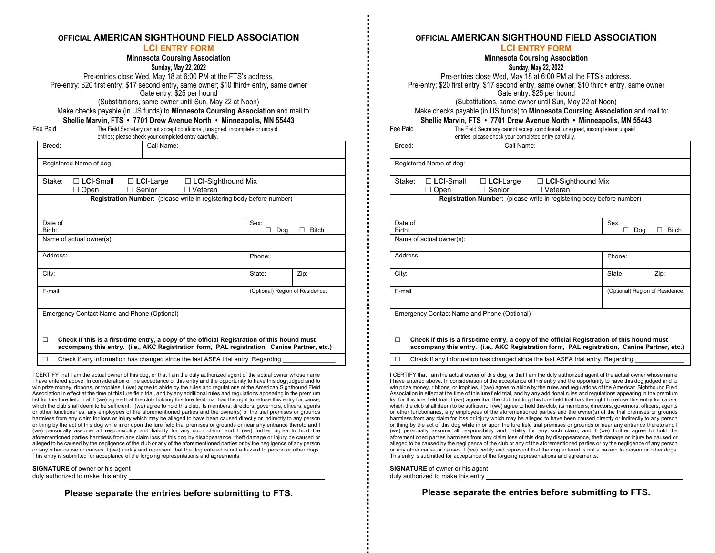#### **OFFICIAL AMERICAN SIGHTHOUND FIELD ASSOCIATION**

#### **LCI ENTRY FORM**

#### **Minnesota Coursing Association**

**Sunday, May 22, 2022** Pre-entries close Wed, May 18 at 6:00 PM at the FTS's address. Pre-entry: \$20 first entry; \$17 second entry, same owner; \$10 third+ entry, same owner Gate entry: \$25 per hound (Substitutions, same owner until Sun, May 22 at Noon)

Make checks payable (in US funds) to **Minnesota Coursing Association** and mail to: **Shellie Marvin, FTS • 7701 Drew Avenue North • Minneapolis, MN 55443**

Fee Paid \_\_\_\_\_\_\_\_\_\_\_\_\_ The Field Secretary cannot accept conditional, unsigned, incomplete or unpaid

|  | ee raiu |  |
|--|---------|--|
|  |         |  |

entries; please check your completed entry carefully.

| Breed:                                                                                                                                                                                          |                                 | Call Name: |             |       |  |
|-------------------------------------------------------------------------------------------------------------------------------------------------------------------------------------------------|---------------------------------|------------|-------------|-------|--|
| Registered Name of dog:                                                                                                                                                                         |                                 |            |             |       |  |
| $\Box$ LCI-Small<br>Stake:<br>$\Box$ LCI-Large<br>$\Box$ LCI-Sighthound Mix<br>Senior<br>⊟ Veteran<br>Open                                                                                      |                                 |            |             |       |  |
| <b>Registration Number:</b> (please write in registering body before number)                                                                                                                    |                                 |            |             |       |  |
| Date of<br>Birth:                                                                                                                                                                               |                                 |            | Sex:<br>Dog | Bitch |  |
| Name of actual owner(s):                                                                                                                                                                        |                                 |            |             |       |  |
| Address:                                                                                                                                                                                        |                                 |            | Phone:      |       |  |
| City:                                                                                                                                                                                           |                                 |            | State:      | Zip:  |  |
| E-mail                                                                                                                                                                                          | (Optional) Region of Residence: |            |             |       |  |
| Emergency Contact Name and Phone (Optional)                                                                                                                                                     |                                 |            |             |       |  |
| Check if this is a first-time entry, a copy of the official Registration of this hound must<br>П<br>accompany this entry. (i.e., AKC Registration form, PAL registration, Canine Partner, etc.) |                                 |            |             |       |  |

□ Check if any information has changed since the last ASFA trial entry. Regarding

I CERTIFY that I am the actual owner of this dog, or that I am the duly authorized agent of the actual owner whose name I have entered above. In consideration of the acceptance of this entry and the opportunity to have this dog judged and to win prize money, ribbons, or trophies, I (we) agree to abide by the rules and regulations of the American Sighthound Field Association in effect at the time of this lure field trial, and by any additional rules and regulations appearing in the premium list for this lure field trial. I (we) agree that the club holding this lure field trial has the right to refuse this entry for cause, which the club shall deem to be sufficient. I (we) agree to hold this club, its members, directors, governors, officers, agents or other functionaries, any employees of the aforementioned parties and the owner(s) of the trial premises or grounds harmless from any claim for loss or injury which may be alleged to have been caused directly or indirectly to any person or thing by the act of this dog while in or upon the lure field trial premises or grounds or near any entrance thereto and I (we) personally assume all responsibility and liability for any such claim, and I (we) further agree to hold the aforementioned parties harmless from any claim loss of this dog by disappearance, theft damage or injury be caused or alleged to be caused by the negligence of the club or any of the aforementioned parties or by the negligence of any person or any other cause or causes. I (we) certify and represent that the dog entered is not a hazard to person or other dogs. This entry is submitted for acceptance of the forgoing representations and agreements.

**SIGNATURE** of owner or his agent duly authorized to make this entry

**Please separate the entries before submitting to FTS.**

#### **Minnesota Coursing Association Sunday, May 22, 2022** Pre-entries close Wed, May 18 at 6:00 PM at the FTS's address. Pre-entry: \$20 first entry; \$17 second entry, same owner; \$10 third+ entry, same owner Gate entry: \$25 per hound (Substitutions, same owner until Sun, May 22 at Noon) Make checks payable (in US funds) to **Minnesota Coursing Association** and mail to: **Shellie Marvin, FTS • 7701 Drew Avenue North • Minneapolis, MN 55443** Fee Paid \_\_\_\_\_\_\_ The Field Secretary cannot accept conditional, unsigned, incomplete or unpaid entries; please check your completed entry carefully. Breed: Call Name: Registered Name of dog: Stake: **LCI**-Small **LCI**-Large **LCI**-Sighthound Mix □ Open □ Senior □ Veteran **Registration Number:** (please write in registering body before number) Date of Birth: Sex: Dog **Bitch** Name of actual owner(s): Address: Phone: Phone: Phone: Phone: Phone: Phone: Phone: Phone: Phone: Phone: Phone: Phone: Phone: Phone: Phone: Phone: Phone: Phone: Phone: Phone: Phone: Phone: Phone: Phone: Phone: Phone: Phone: Phone: Phone: Phone: Pho City: State: | Zip: E-mail (Optional) Region of Residence:

Emergency Contact Name and Phone (Optional)

 **Check if this is a first-time entry, a copy of the official Registration of this hound must accompany this entry. (i.e., AKC Registration form, PAL registration, Canine Partner, etc.)**

Check if any information has changed since the last ASFA trial entry. Regarding

I CERTIFY that I am the actual owner of this dog, or that I am the duly authorized agent of the actual owner whose name I have entered above. In consideration of the acceptance of this entry and the opportunity to have this dog judged and to win prize money, ribbons, or trophies, I (we) agree to abide by the rules and regulations of the American Sighthound Field Association in effect at the time of this lure field trial, and by any additional rules and regulations appearing in the premium list for this lure field trial. I (we) agree that the club holding this lure field trial has the right to refuse this entry for cause, which the club shall deem to be sufficient. I (we) agree to hold this club, its members, directors, governors, officers, agents or other functionaries, any employees of the aforementioned parties and the owner(s) of the trial premises or grounds harmless from any claim for loss or injury which may be alleged to have been caused directly or indirectly to any person or thing by the act of this dog while in or upon the lure field trial premises or grounds or near any entrance thereto and I (we) personally assume all responsibility and liability for any such claim, and I (we) further agree to hold the aforementioned parties harmless from any claim loss of this dog by disappearance, theft damage or injury be caused or alleged to be caused by the negligence of the club or any of the aforementioned parties or by the negligence of any person or any other cause or causes. I (we) certify and represent that the dog entered is not a hazard to person or other dogs. This entry is submitted for acceptance of the forgoing representations and agreements.

**SIGNATURE** of owner or his agent duly authorized to make this entry

**Please separate the entries before submitting to FTS.**

### **OFFICIAL AMERICAN SIGHTHOUND FIELD ASSOCIATION**

#### **LCI ENTRY FORM**